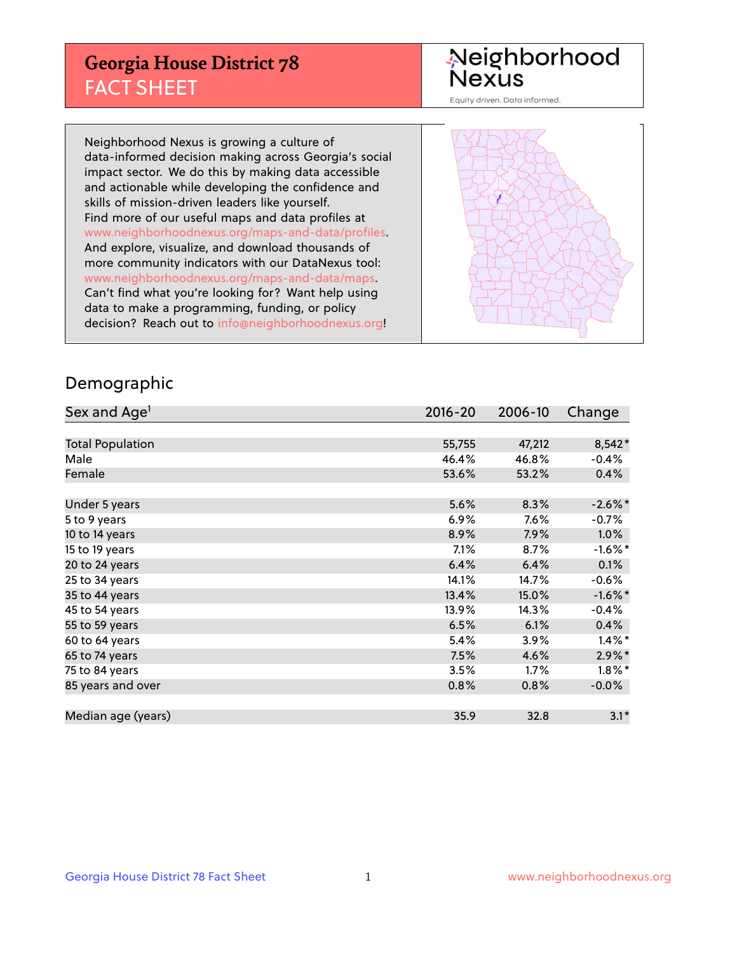## **Georgia House District 78** FACT SHEET

# Neighborhood<br>Nexus

Equity driven. Data informed.

Neighborhood Nexus is growing a culture of data-informed decision making across Georgia's social impact sector. We do this by making data accessible and actionable while developing the confidence and skills of mission-driven leaders like yourself. Find more of our useful maps and data profiles at www.neighborhoodnexus.org/maps-and-data/profiles. And explore, visualize, and download thousands of more community indicators with our DataNexus tool: www.neighborhoodnexus.org/maps-and-data/maps. Can't find what you're looking for? Want help using data to make a programming, funding, or policy decision? Reach out to [info@neighborhoodnexus.org!](mailto:info@neighborhoodnexus.org)



### Demographic

| Sex and Age <sup>1</sup> | $2016 - 20$ | 2006-10 | Change     |
|--------------------------|-------------|---------|------------|
|                          |             |         |            |
| <b>Total Population</b>  | 55,755      | 47,212  | 8,542*     |
| Male                     | 46.4%       | 46.8%   | $-0.4%$    |
| Female                   | 53.6%       | 53.2%   | 0.4%       |
|                          |             |         |            |
| Under 5 years            | 5.6%        | 8.3%    | $-2.6\%$ * |
| 5 to 9 years             | $6.9\%$     | $7.6\%$ | $-0.7\%$   |
| 10 to 14 years           | 8.9%        | 7.9%    | 1.0%       |
| 15 to 19 years           | 7.1%        | 8.7%    | $-1.6\%$ * |
| 20 to 24 years           | 6.4%        | 6.4%    | 0.1%       |
| 25 to 34 years           | 14.1%       | 14.7%   | $-0.6%$    |
| 35 to 44 years           | 13.4%       | 15.0%   | $-1.6\%$ * |
| 45 to 54 years           | 13.9%       | 14.3%   | $-0.4%$    |
| 55 to 59 years           | 6.5%        | 6.1%    | 0.4%       |
| 60 to 64 years           | 5.4%        | $3.9\%$ | $1.4\%$ *  |
| 65 to 74 years           | 7.5%        | 4.6%    | $2.9\%$ *  |
| 75 to 84 years           | 3.5%        | 1.7%    | $1.8\%$ *  |
| 85 years and over        | 0.8%        | 0.8%    | $-0.0%$    |
|                          |             |         |            |
| Median age (years)       | 35.9        | 32.8    | $3.1*$     |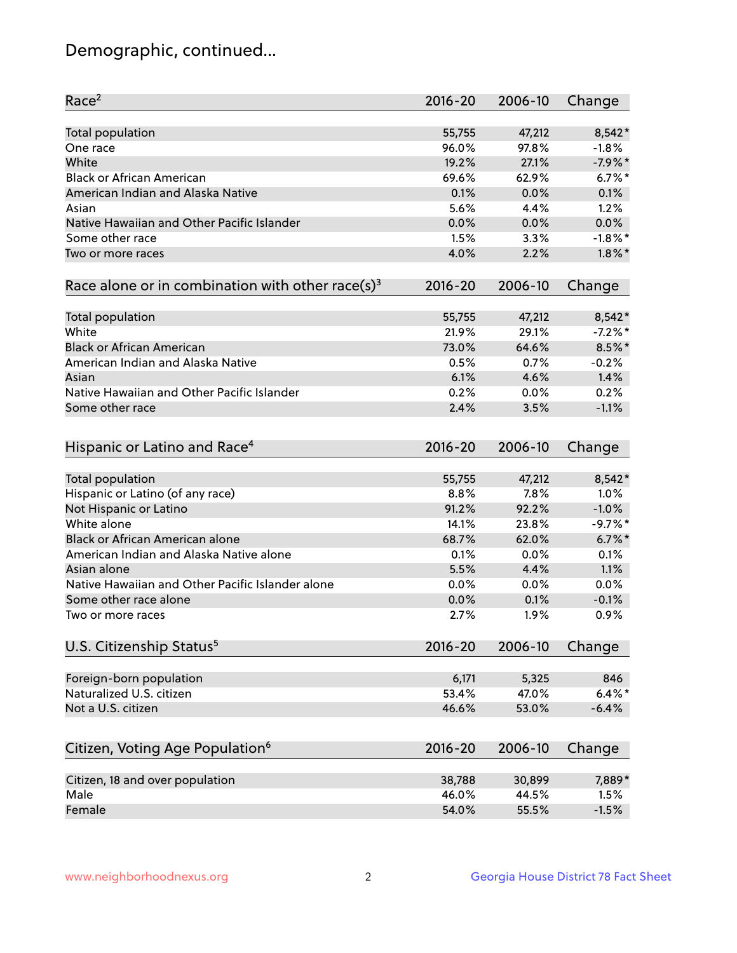## Demographic, continued...

| Race <sup>2</sup>                                            | $2016 - 20$ | 2006-10 | Change     |
|--------------------------------------------------------------|-------------|---------|------------|
| <b>Total population</b>                                      | 55,755      | 47,212  | $8,542*$   |
| One race                                                     | 96.0%       | 97.8%   | $-1.8%$    |
| White                                                        | 19.2%       | 27.1%   | $-7.9%$ *  |
| <b>Black or African American</b>                             | 69.6%       | 62.9%   | $6.7\%$ *  |
| American Indian and Alaska Native                            | 0.1%        | 0.0%    | 0.1%       |
| Asian                                                        | 5.6%        | 4.4%    | 1.2%       |
| Native Hawaiian and Other Pacific Islander                   | 0.0%        | 0.0%    | 0.0%       |
| Some other race                                              | 1.5%        | 3.3%    | $-1.8%$ *  |
| Two or more races                                            | 4.0%        | 2.2%    | $1.8\%$ *  |
|                                                              |             |         |            |
| Race alone or in combination with other race(s) <sup>3</sup> | $2016 - 20$ | 2006-10 | Change     |
| <b>Total population</b>                                      | 55,755      | 47,212  | $8,542*$   |
| White                                                        | 21.9%       | 29.1%   | $-7.2\%$ * |
| <b>Black or African American</b>                             | 73.0%       | 64.6%   | $8.5\%$ *  |
| American Indian and Alaska Native                            | 0.5%        | 0.7%    | $-0.2%$    |
| Asian                                                        | 6.1%        | 4.6%    | 1.4%       |
| Native Hawaiian and Other Pacific Islander                   | 0.2%        | 0.0%    | 0.2%       |
|                                                              | 2.4%        |         | $-1.1%$    |
| Some other race                                              |             | 3.5%    |            |
| Hispanic or Latino and Race <sup>4</sup>                     | $2016 - 20$ | 2006-10 | Change     |
| Total population                                             | 55,755      | 47,212  | $8,542*$   |
| Hispanic or Latino (of any race)                             | 8.8%        | 7.8%    | 1.0%       |
| Not Hispanic or Latino                                       | 91.2%       | 92.2%   | $-1.0%$    |
| White alone                                                  | 14.1%       | 23.8%   | $-9.7%$ *  |
| Black or African American alone                              | 68.7%       | 62.0%   | $6.7\%$ *  |
| American Indian and Alaska Native alone                      | 0.1%        | 0.0%    | 0.1%       |
| Asian alone                                                  | 5.5%        | 4.4%    | 1.1%       |
| Native Hawaiian and Other Pacific Islander alone             | 0.0%        | 0.0%    | 0.0%       |
| Some other race alone                                        | 0.0%        | 0.1%    | $-0.1%$    |
| Two or more races                                            | 2.7%        | 1.9%    | 0.9%       |
|                                                              |             |         |            |
| U.S. Citizenship Status <sup>5</sup>                         | $2016 - 20$ | 2006-10 | Change     |
| Foreign-born population                                      | 6,171       | 5,325   | 846        |
| Naturalized U.S. citizen                                     | 53.4%       | 47.0%   | $6.4\%$ *  |
| Not a U.S. citizen                                           | 46.6%       | 53.0%   | $-6.4%$    |
|                                                              |             |         |            |
| Citizen, Voting Age Population <sup>6</sup>                  | 2016-20     | 2006-10 | Change     |
| Citizen, 18 and over population                              | 38,788      | 30,899  | 7,889*     |
| Male                                                         | 46.0%       | 44.5%   | 1.5%       |
| Female                                                       | 54.0%       | 55.5%   | $-1.5%$    |
|                                                              |             |         |            |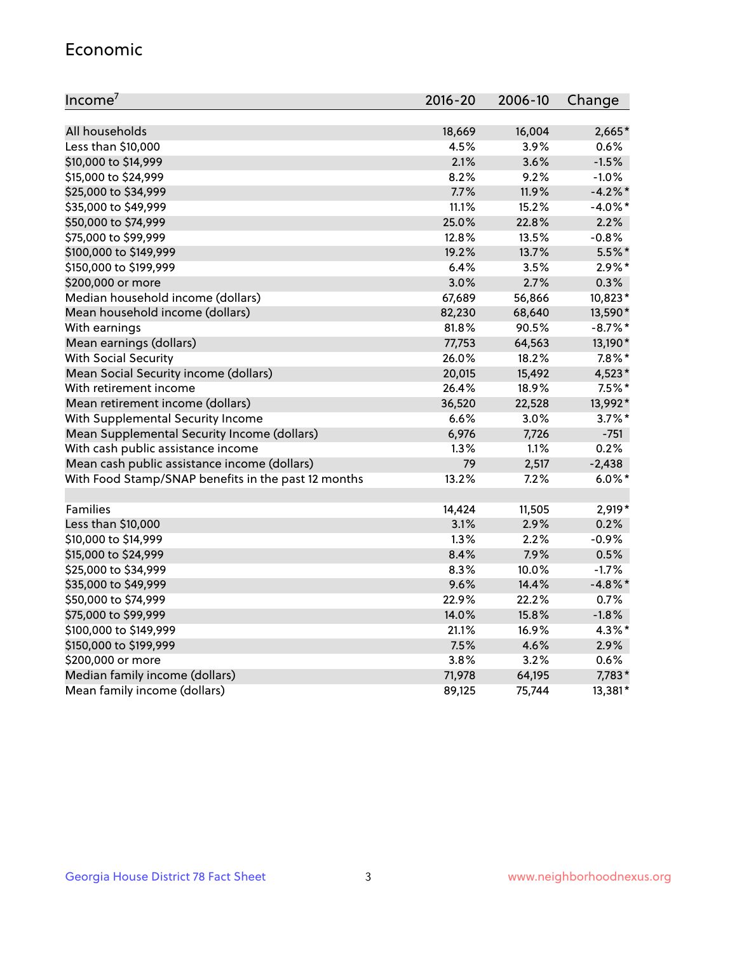#### Economic

| Income <sup>7</sup>                                 | $2016 - 20$ | 2006-10 | Change     |
|-----------------------------------------------------|-------------|---------|------------|
|                                                     |             |         |            |
| All households                                      | 18,669      | 16,004  | 2,665*     |
| Less than \$10,000                                  | 4.5%        | 3.9%    | 0.6%       |
| \$10,000 to \$14,999                                | 2.1%        | 3.6%    | $-1.5%$    |
| \$15,000 to \$24,999                                | 8.2%        | 9.2%    | $-1.0%$    |
| \$25,000 to \$34,999                                | 7.7%        | 11.9%   | $-4.2\%$ * |
| \$35,000 to \$49,999                                | 11.1%       | 15.2%   | $-4.0\%$ * |
| \$50,000 to \$74,999                                | 25.0%       | 22.8%   | 2.2%       |
| \$75,000 to \$99,999                                | 12.8%       | 13.5%   | $-0.8%$    |
| \$100,000 to \$149,999                              | 19.2%       | 13.7%   | 5.5%*      |
| \$150,000 to \$199,999                              | 6.4%        | 3.5%    | $2.9\%*$   |
| \$200,000 or more                                   | 3.0%        | 2.7%    | 0.3%       |
| Median household income (dollars)                   | 67,689      | 56,866  | 10,823*    |
| Mean household income (dollars)                     | 82,230      | 68,640  | 13,590*    |
| With earnings                                       | 81.8%       | 90.5%   | $-8.7\%$ * |
| Mean earnings (dollars)                             | 77,753      | 64,563  | 13,190*    |
| <b>With Social Security</b>                         | 26.0%       | 18.2%   | $7.8\%$ *  |
| Mean Social Security income (dollars)               | 20,015      | 15,492  | 4,523*     |
| With retirement income                              | 26.4%       | 18.9%   | $7.5\%$ *  |
| Mean retirement income (dollars)                    | 36,520      | 22,528  | 13,992*    |
| With Supplemental Security Income                   | 6.6%        | $3.0\%$ | $3.7\%$ *  |
| Mean Supplemental Security Income (dollars)         | 6,976       | 7,726   | $-751$     |
| With cash public assistance income                  | 1.3%        | 1.1%    | 0.2%       |
| Mean cash public assistance income (dollars)        | 79          | 2,517   | $-2,438$   |
| With Food Stamp/SNAP benefits in the past 12 months | 13.2%       | 7.2%    | $6.0\%$ *  |
|                                                     |             |         |            |
| Families                                            | 14,424      | 11,505  | $2,919*$   |
| Less than \$10,000                                  | 3.1%        | 2.9%    | 0.2%       |
| \$10,000 to \$14,999                                | 1.3%        | 2.2%    | $-0.9%$    |
| \$15,000 to \$24,999                                | 8.4%        | 7.9%    | 0.5%       |
| \$25,000 to \$34,999                                | 8.3%        | 10.0%   | $-1.7%$    |
| \$35,000 to \$49,999                                | 9.6%        | 14.4%   | $-4.8\%$ * |
| \$50,000 to \$74,999                                | 22.9%       | 22.2%   | 0.7%       |
| \$75,000 to \$99,999                                | 14.0%       | 15.8%   | $-1.8%$    |
| \$100,000 to \$149,999                              | 21.1%       | 16.9%   | $4.3\%$ *  |
| \$150,000 to \$199,999                              | 7.5%        | 4.6%    | 2.9%       |
| \$200,000 or more                                   | 3.8%        | 3.2%    | 0.6%       |
| Median family income (dollars)                      | 71,978      | 64,195  | 7,783*     |
| Mean family income (dollars)                        | 89,125      | 75,744  | 13,381*    |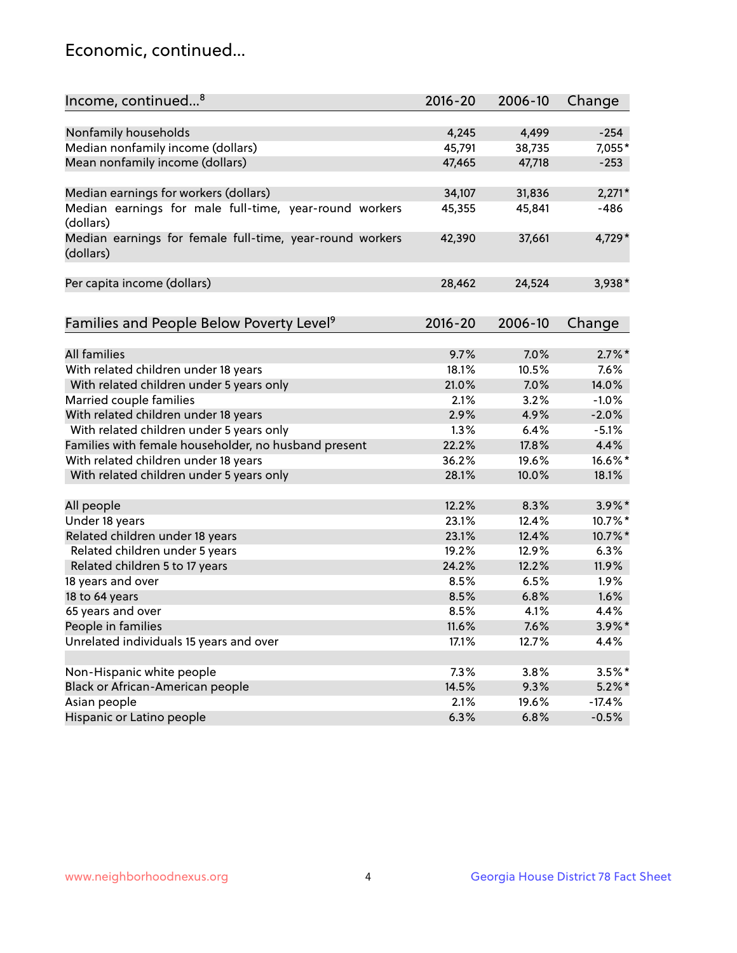## Economic, continued...

| Income, continued <sup>8</sup>                                        | $2016 - 20$ | 2006-10 | Change    |
|-----------------------------------------------------------------------|-------------|---------|-----------|
|                                                                       |             |         |           |
| Nonfamily households                                                  | 4,245       | 4,499   | $-254$    |
| Median nonfamily income (dollars)                                     | 45,791      | 38,735  | 7,055*    |
| Mean nonfamily income (dollars)                                       | 47,465      | 47,718  | $-253$    |
| Median earnings for workers (dollars)                                 | 34,107      | 31,836  | $2,271*$  |
| Median earnings for male full-time, year-round workers                | 45,355      | 45,841  | -486      |
| (dollars)                                                             |             |         |           |
| Median earnings for female full-time, year-round workers<br>(dollars) | 42,390      | 37,661  | 4,729*    |
| Per capita income (dollars)                                           | 28,462      | 24,524  | $3,938*$  |
|                                                                       |             |         |           |
| Families and People Below Poverty Level <sup>9</sup>                  | $2016 - 20$ | 2006-10 | Change    |
| <b>All families</b>                                                   |             |         | $2.7\%$ * |
|                                                                       | 9.7%        | 7.0%    |           |
| With related children under 18 years                                  | 18.1%       | 10.5%   | 7.6%      |
| With related children under 5 years only                              | 21.0%       | 7.0%    | 14.0%     |
| Married couple families                                               | 2.1%        | 3.2%    | $-1.0%$   |
| With related children under 18 years                                  | 2.9%        | 4.9%    | $-2.0%$   |
| With related children under 5 years only                              | 1.3%        | 6.4%    | $-5.1%$   |
| Families with female householder, no husband present                  | 22.2%       | 17.8%   | 4.4%      |
| With related children under 18 years                                  | 36.2%       | 19.6%   | 16.6%*    |
| With related children under 5 years only                              | 28.1%       | 10.0%   | 18.1%     |
| All people                                                            | 12.2%       | 8.3%    | $3.9\%$ * |
| Under 18 years                                                        | 23.1%       | 12.4%   | 10.7%*    |
| Related children under 18 years                                       | 23.1%       | 12.4%   | 10.7%*    |
| Related children under 5 years                                        | 19.2%       | 12.9%   | 6.3%      |
| Related children 5 to 17 years                                        | 24.2%       | 12.2%   | 11.9%     |
| 18 years and over                                                     | 8.5%        | 6.5%    | 1.9%      |
| 18 to 64 years                                                        | 8.5%        | 6.8%    | 1.6%      |
| 65 years and over                                                     | 8.5%        | 4.1%    | 4.4%      |
| People in families                                                    | 11.6%       | 7.6%    | 3.9%*     |
| Unrelated individuals 15 years and over                               | 17.1%       | 12.7%   | 4.4%      |
|                                                                       |             |         |           |
| Non-Hispanic white people                                             | 7.3%        | 3.8%    | $3.5%$ *  |
| Black or African-American people                                      | 14.5%       | 9.3%    | $5.2\%$ * |
| Asian people                                                          | 2.1%        | 19.6%   | $-17.4%$  |
| Hispanic or Latino people                                             | 6.3%        | 6.8%    | $-0.5%$   |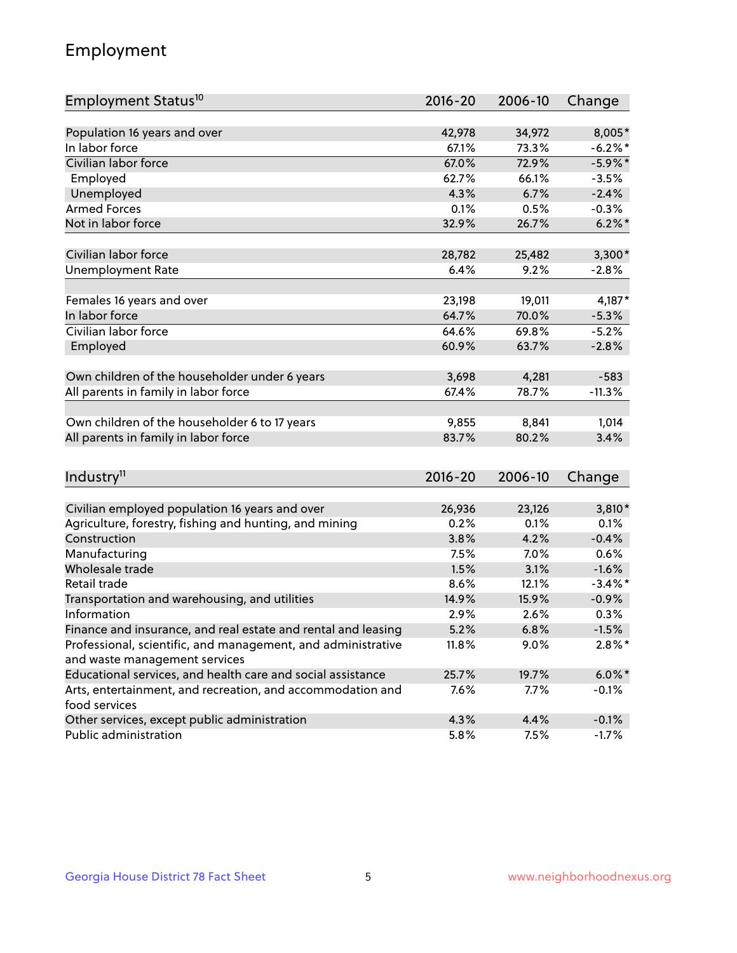## Employment

| Employment Status <sup>10</sup>                                             | $2016 - 20$ | 2006-10 | Change     |
|-----------------------------------------------------------------------------|-------------|---------|------------|
|                                                                             |             |         |            |
| Population 16 years and over                                                | 42,978      | 34,972  | 8,005*     |
| In labor force                                                              | 67.1%       | 73.3%   | $-6.2\%$ * |
| Civilian labor force                                                        | 67.0%       | 72.9%   | $-5.9\%$ * |
| Employed                                                                    | 62.7%       | 66.1%   | $-3.5%$    |
| Unemployed                                                                  | 4.3%        | 6.7%    | $-2.4%$    |
| <b>Armed Forces</b>                                                         | 0.1%        | 0.5%    | $-0.3%$    |
| Not in labor force                                                          | 32.9%       | 26.7%   | $6.2\%$ *  |
| Civilian labor force                                                        | 28,782      | 25,482  | $3,300*$   |
|                                                                             |             |         |            |
| <b>Unemployment Rate</b>                                                    | 6.4%        | 9.2%    | $-2.8%$    |
| Females 16 years and over                                                   | 23,198      | 19,011  | $4,187*$   |
| In labor force                                                              | 64.7%       | 70.0%   | $-5.3%$    |
| Civilian labor force                                                        | 64.6%       | 69.8%   | $-5.2%$    |
| Employed                                                                    | 60.9%       | 63.7%   | $-2.8%$    |
|                                                                             |             |         |            |
| Own children of the householder under 6 years                               | 3,698       | 4,281   | $-583$     |
| All parents in family in labor force                                        | 67.4%       | 78.7%   | $-11.3%$   |
| Own children of the householder 6 to 17 years                               | 9,855       | 8,841   | 1,014      |
| All parents in family in labor force                                        | 83.7%       | 80.2%   | 3.4%       |
|                                                                             |             |         |            |
| Industry <sup>11</sup>                                                      | $2016 - 20$ | 2006-10 | Change     |
|                                                                             |             |         |            |
| Civilian employed population 16 years and over                              | 26,936      | 23,126  | 3,810*     |
| Agriculture, forestry, fishing and hunting, and mining                      | 0.2%        | 0.1%    | 0.1%       |
| Construction                                                                | 3.8%        | 4.2%    | $-0.4%$    |
| Manufacturing                                                               | 7.5%        | 7.0%    | 0.6%       |
| Wholesale trade                                                             | 1.5%        | 3.1%    | $-1.6%$    |
| Retail trade                                                                | 8.6%        | 12.1%   | $-3.4\%$ * |
| Transportation and warehousing, and utilities                               | 14.9%       | 15.9%   | $-0.9%$    |
| Information                                                                 | 2.9%        | 2.6%    | 0.3%       |
| Finance and insurance, and real estate and rental and leasing               | 5.2%        | 6.8%    | $-1.5%$    |
| Professional, scientific, and management, and administrative                | 11.8%       | 9.0%    | $2.8\%$ *  |
| and waste management services                                               |             |         |            |
| Educational services, and health care and social assistance                 | 25.7%       | 19.7%   | $6.0\%$ *  |
| Arts, entertainment, and recreation, and accommodation and<br>food services | 7.6%        | 7.7%    | $-0.1%$    |
| Other services, except public administration                                | 4.3%        | 4.4%    | $-0.1%$    |
| Public administration                                                       | 5.8%        | 7.5%    | $-1.7%$    |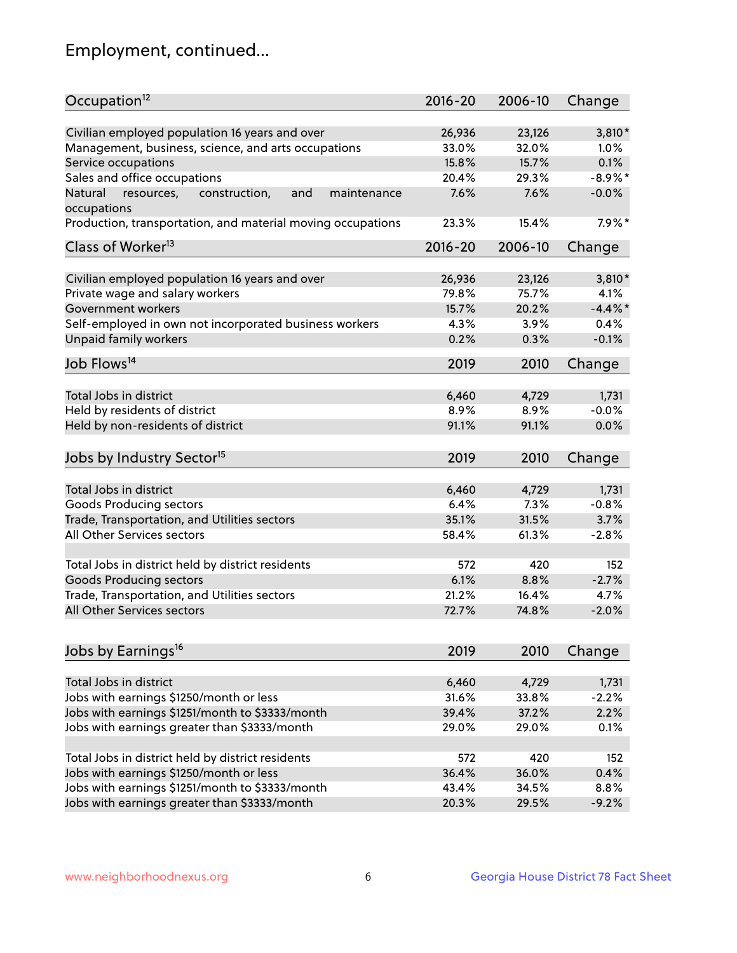## Employment, continued...

| Occupation <sup>12</sup>                                                    | $2016 - 20$ | 2006-10 | Change     |
|-----------------------------------------------------------------------------|-------------|---------|------------|
| Civilian employed population 16 years and over                              | 26,936      | 23,126  | 3,810*     |
| Management, business, science, and arts occupations                         | 33.0%       | 32.0%   | $1.0\%$    |
| Service occupations                                                         | 15.8%       | 15.7%   | 0.1%       |
| Sales and office occupations                                                | 20.4%       | 29.3%   | $-8.9\%$ * |
|                                                                             |             |         | $-0.0%$    |
| Natural<br>and<br>resources,<br>construction,<br>maintenance<br>occupations | 7.6%        | 7.6%    |            |
| Production, transportation, and material moving occupations                 | 23.3%       | 15.4%   | $7.9\%$ *  |
| Class of Worker <sup>13</sup>                                               | $2016 - 20$ | 2006-10 | Change     |
|                                                                             |             |         |            |
| Civilian employed population 16 years and over                              | 26,936      | 23,126  | 3,810*     |
| Private wage and salary workers                                             | 79.8%       | 75.7%   | 4.1%       |
| Government workers                                                          | 15.7%       | 20.2%   | $-4.4%$ *  |
| Self-employed in own not incorporated business workers                      | 4.3%        | 3.9%    | 0.4%       |
| Unpaid family workers                                                       | 0.2%        | 0.3%    | $-0.1%$    |
| Job Flows <sup>14</sup>                                                     | 2019        | 2010    | Change     |
|                                                                             |             |         |            |
| Total Jobs in district                                                      | 6,460       | 4,729   | 1,731      |
| Held by residents of district                                               | 8.9%        | 8.9%    | $-0.0%$    |
| Held by non-residents of district                                           | 91.1%       | 91.1%   | 0.0%       |
| Jobs by Industry Sector <sup>15</sup>                                       | 2019        | 2010    | Change     |
|                                                                             |             |         |            |
| Total Jobs in district                                                      | 6,460       | 4,729   | 1,731      |
| Goods Producing sectors                                                     | 6.4%        | 7.3%    | $-0.8%$    |
| Trade, Transportation, and Utilities sectors                                | 35.1%       | 31.5%   | 3.7%       |
| All Other Services sectors                                                  | 58.4%       | 61.3%   | $-2.8%$    |
| Total Jobs in district held by district residents                           | 572         | 420     | 152        |
| <b>Goods Producing sectors</b>                                              | 6.1%        | 8.8%    | $-2.7%$    |
| Trade, Transportation, and Utilities sectors                                | 21.2%       | 16.4%   | 4.7%       |
| All Other Services sectors                                                  | 72.7%       | 74.8%   | $-2.0%$    |
|                                                                             |             |         |            |
| Jobs by Earnings <sup>16</sup>                                              | 2019        | 2010    | Change     |
|                                                                             |             |         |            |
| Total Jobs in district                                                      | 6,460       | 4,729   | 1,731      |
| Jobs with earnings \$1250/month or less                                     | 31.6%       | 33.8%   | $-2.2%$    |
| Jobs with earnings \$1251/month to \$3333/month                             | 39.4%       | 37.2%   | 2.2%       |
| Jobs with earnings greater than \$3333/month                                | 29.0%       | 29.0%   | 0.1%       |
| Total Jobs in district held by district residents                           | 572         | 420     | 152        |
| Jobs with earnings \$1250/month or less                                     | 36.4%       | 36.0%   | 0.4%       |
| Jobs with earnings \$1251/month to \$3333/month                             | 43.4%       | 34.5%   | 8.8%       |
| Jobs with earnings greater than \$3333/month                                | 20.3%       | 29.5%   | $-9.2%$    |
|                                                                             |             |         |            |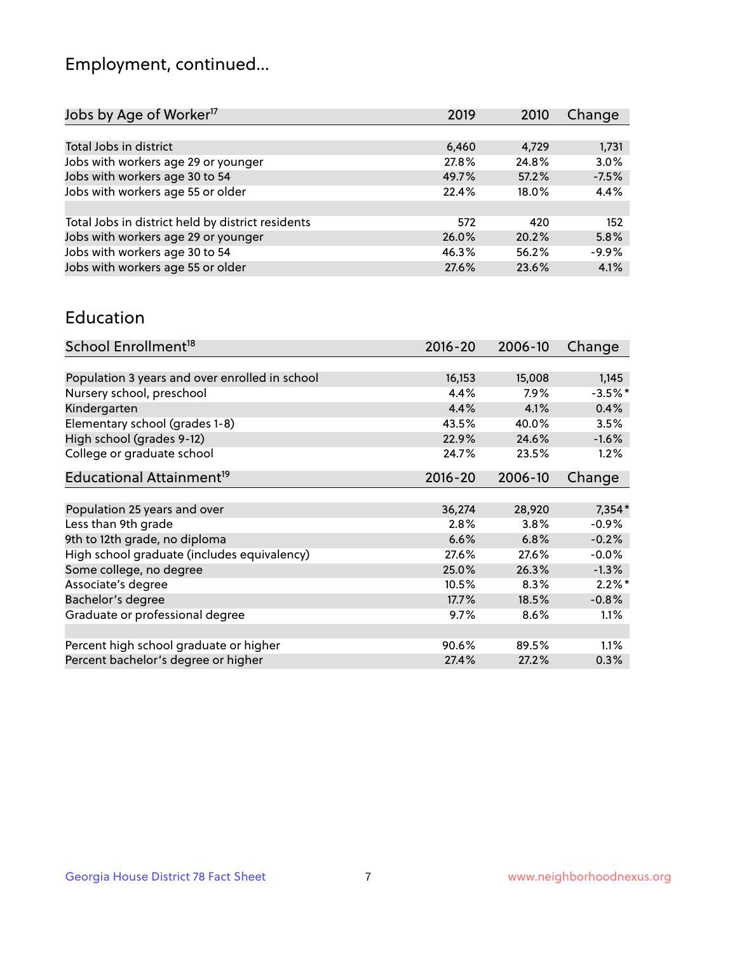## Employment, continued...

| 2019  | 2010  | Change  |
|-------|-------|---------|
|       |       |         |
| 6,460 | 4,729 | 1,731   |
| 27.8% | 24.8% | 3.0%    |
| 49.7% | 57.2% | $-7.5%$ |
| 22.4% | 18.0% | 4.4%    |
|       |       |         |
| 572   | 420   | 152     |
| 26.0% | 20.2% | 5.8%    |
| 46.3% | 56.2% | $-9.9%$ |
| 27.6% | 23.6% | 4.1%    |
|       |       |         |

#### Education

| School Enrollment <sup>18</sup>                | $2016 - 20$ | 2006-10 | Change    |
|------------------------------------------------|-------------|---------|-----------|
|                                                |             |         |           |
| Population 3 years and over enrolled in school | 16,153      | 15,008  | 1,145     |
| Nursery school, preschool                      | 4.4%        | $7.9\%$ | $-3.5%$ * |
| Kindergarten                                   | 4.4%        | 4.1%    | 0.4%      |
| Elementary school (grades 1-8)                 | 43.5%       | 40.0%   | 3.5%      |
| High school (grades 9-12)                      | 22.9%       | 24.6%   | $-1.6%$   |
| College or graduate school                     | 24.7%       | 23.5%   | 1.2%      |
| Educational Attainment <sup>19</sup>           | $2016 - 20$ | 2006-10 | Change    |
|                                                |             |         |           |
| Population 25 years and over                   | 36,274      | 28,920  | 7,354*    |
| Less than 9th grade                            | 2.8%        | 3.8%    | $-0.9%$   |
| 9th to 12th grade, no diploma                  | 6.6%        | 6.8%    | $-0.2%$   |
| High school graduate (includes equivalency)    | 27.6%       | 27.6%   | $-0.0%$   |
| Some college, no degree                        | 25.0%       | 26.3%   | $-1.3%$   |
| Associate's degree                             | 10.5%       | 8.3%    | $2.2\%$ * |
| Bachelor's degree                              | 17.7%       | 18.5%   | $-0.8%$   |
| Graduate or professional degree                | 9.7%        | 8.6%    | 1.1%      |
|                                                |             |         |           |
| Percent high school graduate or higher         | 90.6%       | 89.5%   | 1.1%      |
| Percent bachelor's degree or higher            | 27.4%       | 27.2%   | 0.3%      |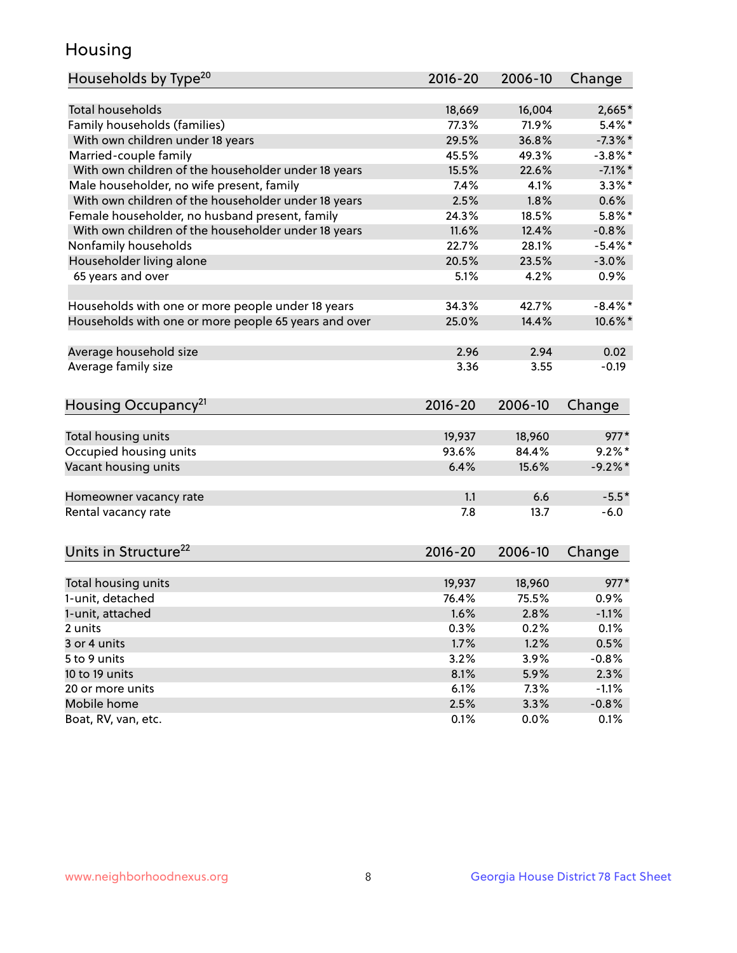## Housing

| Households by Type <sup>20</sup>                     | 2016-20 | 2006-10 | Change     |
|------------------------------------------------------|---------|---------|------------|
|                                                      |         |         |            |
| <b>Total households</b>                              | 18,669  | 16,004  | $2,665*$   |
| Family households (families)                         | 77.3%   | 71.9%   | $5.4\%$ *  |
| With own children under 18 years                     | 29.5%   | 36.8%   | $-7.3\%$ * |
| Married-couple family                                | 45.5%   | 49.3%   | $-3.8\%$ * |
| With own children of the householder under 18 years  | 15.5%   | 22.6%   | $-7.1\%$ * |
| Male householder, no wife present, family            | 7.4%    | 4.1%    | $3.3\%$ *  |
| With own children of the householder under 18 years  | 2.5%    | 1.8%    | 0.6%       |
| Female householder, no husband present, family       | 24.3%   | 18.5%   | $5.8\%$ *  |
| With own children of the householder under 18 years  | 11.6%   | 12.4%   | $-0.8%$    |
| Nonfamily households                                 | 22.7%   | 28.1%   | $-5.4\%$ * |
| Householder living alone                             | 20.5%   | 23.5%   | $-3.0%$    |
| 65 years and over                                    | 5.1%    | 4.2%    | 0.9%       |
|                                                      |         |         |            |
| Households with one or more people under 18 years    | 34.3%   | 42.7%   | $-8.4\%$ * |
| Households with one or more people 65 years and over | 25.0%   | 14.4%   | 10.6%*     |
|                                                      |         |         |            |
| Average household size                               | 2.96    | 2.94    | 0.02       |
| Average family size                                  | 3.36    | 3.55    | $-0.19$    |
| Housing Occupancy <sup>21</sup>                      | 2016-20 | 2006-10 | Change     |
|                                                      |         |         |            |
| Total housing units                                  | 19,937  | 18,960  | $977*$     |
| Occupied housing units                               | 93.6%   | 84.4%   | $9.2\%$ *  |
| Vacant housing units                                 | 6.4%    | 15.6%   | $-9.2%$ *  |
|                                                      |         |         |            |
| Homeowner vacancy rate                               | 1.1     | 6.6     | $-5.5*$    |
| Rental vacancy rate                                  | 7.8     | 13.7    | $-6.0$     |
|                                                      |         |         |            |
| Units in Structure <sup>22</sup>                     | 2016-20 | 2006-10 | Change     |
| Total housing units                                  | 19,937  | 18,960  | $977*$     |
| 1-unit, detached                                     | 76.4%   | 75.5%   | 0.9%       |
| 1-unit, attached                                     | 1.6%    | 2.8%    | $-1.1%$    |
| 2 units                                              | 0.3%    | 0.2%    | 0.1%       |
| 3 or 4 units                                         | 1.7%    | 1.2%    | 0.5%       |
| 5 to 9 units                                         | 3.2%    | 3.9%    | $-0.8%$    |
| 10 to 19 units                                       | 8.1%    | 5.9%    | 2.3%       |
| 20 or more units                                     | 6.1%    | 7.3%    | $-1.1%$    |
| Mobile home                                          | 2.5%    | 3.3%    | $-0.8%$    |
| Boat, RV, van, etc.                                  | 0.1%    | 0.0%    | 0.1%       |
|                                                      |         |         |            |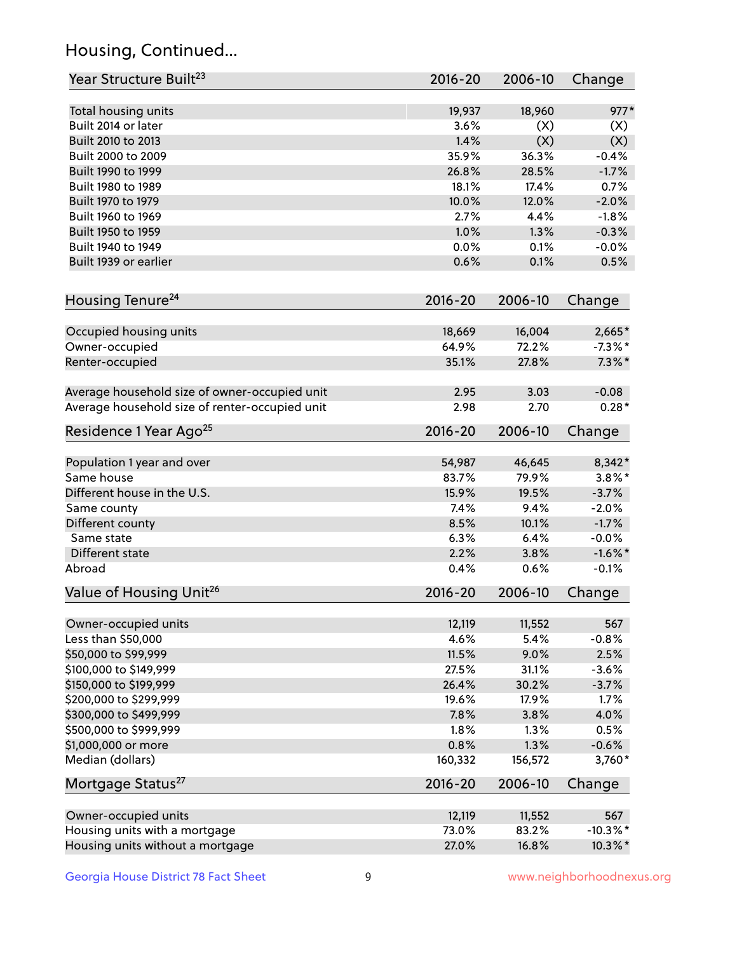## Housing, Continued...

| Year Structure Built <sup>23</sup>             | 2016-20     | 2006-10 | Change      |
|------------------------------------------------|-------------|---------|-------------|
| Total housing units                            | 19,937      | 18,960  | $977*$      |
| Built 2014 or later                            | 3.6%        | (X)     | (X)         |
| Built 2010 to 2013                             | 1.4%        | (X)     | (X)         |
| Built 2000 to 2009                             | 35.9%       | 36.3%   | $-0.4%$     |
| Built 1990 to 1999                             | 26.8%       | 28.5%   | $-1.7%$     |
| Built 1980 to 1989                             | 18.1%       | 17.4%   | 0.7%        |
| Built 1970 to 1979                             | 10.0%       | 12.0%   | $-2.0%$     |
| Built 1960 to 1969                             | 2.7%        | 4.4%    | $-1.8%$     |
| Built 1950 to 1959                             | 1.0%        | 1.3%    | $-0.3%$     |
| Built 1940 to 1949                             | 0.0%        | 0.1%    | $-0.0%$     |
|                                                |             |         |             |
| Built 1939 or earlier                          | 0.6%        | 0.1%    | 0.5%        |
| Housing Tenure <sup>24</sup>                   | $2016 - 20$ | 2006-10 | Change      |
| Occupied housing units                         | 18,669      | 16,004  | $2,665*$    |
| Owner-occupied                                 | 64.9%       | 72.2%   | $-7.3\%$ *  |
| Renter-occupied                                | 35.1%       | 27.8%   | $7.3\%$ *   |
|                                                |             |         |             |
| Average household size of owner-occupied unit  | 2.95        | 3.03    | $-0.08$     |
| Average household size of renter-occupied unit | 2.98        | 2.70    | $0.28*$     |
| Residence 1 Year Ago <sup>25</sup>             | $2016 - 20$ | 2006-10 | Change      |
| Population 1 year and over                     | 54,987      | 46,645  | 8,342*      |
| Same house                                     | 83.7%       | 79.9%   | $3.8\%$ *   |
| Different house in the U.S.                    | 15.9%       | 19.5%   | $-3.7%$     |
| Same county                                    | 7.4%        | 9.4%    | $-2.0%$     |
| Different county                               | 8.5%        | 10.1%   | $-1.7%$     |
| Same state                                     | 6.3%        | 6.4%    | $-0.0%$     |
| Different state                                | 2.2%        | 3.8%    | $-1.6\%$ *  |
| Abroad                                         | 0.4%        | 0.6%    | $-0.1%$     |
| Value of Housing Unit <sup>26</sup>            | $2016 - 20$ | 2006-10 | Change      |
|                                                |             |         |             |
| Owner-occupied units                           | 12,119      | 11,552  | 567         |
| Less than \$50,000                             | 4.6%        | 5.4%    | $-0.8%$     |
| \$50,000 to \$99,999                           | 11.5%       | 9.0%    | 2.5%        |
| \$100,000 to \$149,999                         | 27.5%       | 31.1%   | $-3.6%$     |
| \$150,000 to \$199,999                         | 26.4%       | 30.2%   | $-3.7%$     |
| \$200,000 to \$299,999                         | 19.6%       | 17.9%   | 1.7%        |
| \$300,000 to \$499,999                         | 7.8%        | 3.8%    | 4.0%        |
| \$500,000 to \$999,999                         | 1.8%        | 1.3%    | 0.5%        |
| \$1,000,000 or more                            | 0.8%        | 1.3%    | $-0.6%$     |
| Median (dollars)                               | 160,332     | 156,572 | 3,760*      |
| Mortgage Status <sup>27</sup>                  | $2016 - 20$ | 2006-10 | Change      |
| Owner-occupied units                           | 12,119      | 11,552  | 567         |
| Housing units with a mortgage                  | 73.0%       | 83.2%   | $-10.3\%$ * |
| Housing units without a mortgage               | 27.0%       | 16.8%   | 10.3%*      |
|                                                |             |         |             |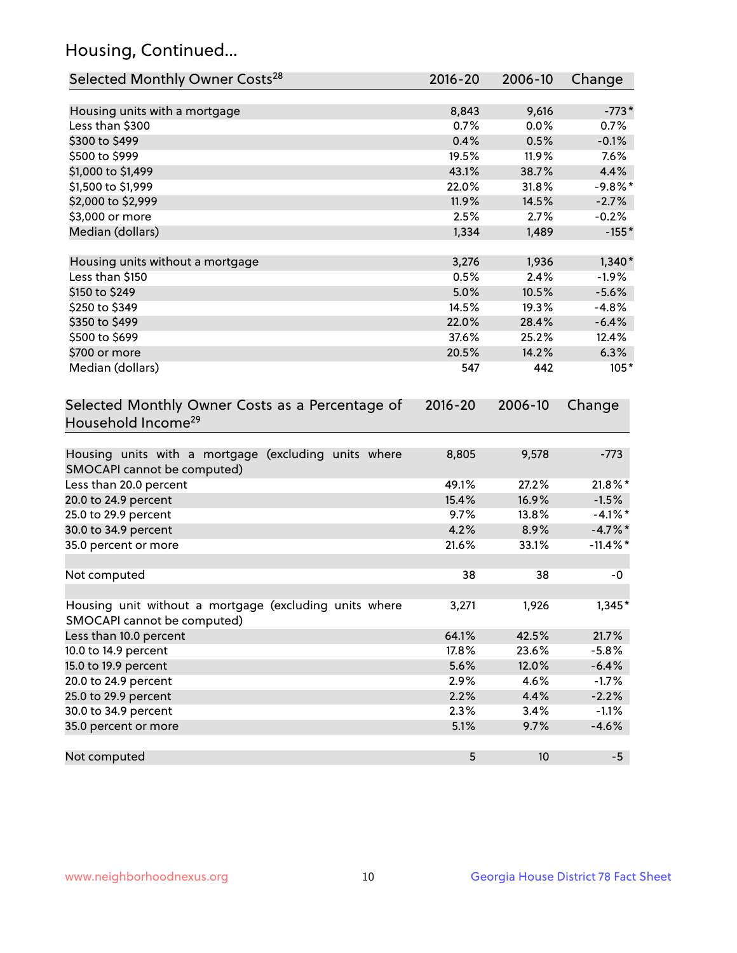## Housing, Continued...

| Selected Monthly Owner Costs <sup>28</sup>                                            | 2016-20     | 2006-10 | Change      |
|---------------------------------------------------------------------------------------|-------------|---------|-------------|
| Housing units with a mortgage                                                         | 8,843       | 9,616   | $-773*$     |
| Less than \$300                                                                       | 0.7%        | 0.0%    | 0.7%        |
| \$300 to \$499                                                                        | 0.4%        | 0.5%    | $-0.1%$     |
| \$500 to \$999                                                                        | 19.5%       | 11.9%   | 7.6%        |
| \$1,000 to \$1,499                                                                    | 43.1%       | 38.7%   | 4.4%        |
| \$1,500 to \$1,999                                                                    | 22.0%       | 31.8%   | $-9.8%$ *   |
| \$2,000 to \$2,999                                                                    | 11.9%       | 14.5%   | $-2.7%$     |
| \$3,000 or more                                                                       | 2.5%        | 2.7%    | $-0.2%$     |
| Median (dollars)                                                                      | 1,334       | 1,489   | $-155*$     |
| Housing units without a mortgage                                                      | 3,276       | 1,936   | $1,340*$    |
| Less than \$150                                                                       | 0.5%        | 2.4%    | $-1.9%$     |
| \$150 to \$249                                                                        | 5.0%        | 10.5%   | $-5.6%$     |
| \$250 to \$349                                                                        | 14.5%       | 19.3%   | $-4.8%$     |
| \$350 to \$499                                                                        | 22.0%       | 28.4%   | $-6.4%$     |
| \$500 to \$699                                                                        | 37.6%       | 25.2%   | 12.4%       |
| \$700 or more                                                                         | 20.5%       | 14.2%   | 6.3%        |
| Median (dollars)                                                                      | 547         | 442     | $105*$      |
| Selected Monthly Owner Costs as a Percentage of<br>Household Income <sup>29</sup>     | $2016 - 20$ | 2006-10 | Change      |
| Housing units with a mortgage (excluding units where<br>SMOCAPI cannot be computed)   | 8,805       | 9,578   | $-773$      |
| Less than 20.0 percent                                                                | 49.1%       | 27.2%   | 21.8%*      |
| 20.0 to 24.9 percent                                                                  | 15.4%       | 16.9%   | $-1.5%$     |
| 25.0 to 29.9 percent                                                                  | 9.7%        | 13.8%   | $-4.1\%$ *  |
| 30.0 to 34.9 percent                                                                  | 4.2%        | 8.9%    | $-4.7\%$ *  |
| 35.0 percent or more                                                                  | 21.6%       | 33.1%   | $-11.4\%$ * |
| Not computed                                                                          | 38          | 38      | -0          |
| Housing unit without a mortgage (excluding units where<br>SMOCAPI cannot be computed) | 3,271       | 1,926   | $1,345*$    |
| Less than 10.0 percent                                                                | 64.1%       | 42.5%   | 21.7%       |
| 10.0 to 14.9 percent                                                                  | 17.8%       | 23.6%   | $-5.8%$     |
| 15.0 to 19.9 percent                                                                  | 5.6%        | 12.0%   | $-6.4%$     |
| 20.0 to 24.9 percent                                                                  | 2.9%        | 4.6%    | $-1.7%$     |
| 25.0 to 29.9 percent                                                                  | 2.2%        | 4.4%    | $-2.2%$     |
| 30.0 to 34.9 percent                                                                  | 2.3%        | 3.4%    | $-1.1%$     |
| 35.0 percent or more                                                                  | 5.1%        | 9.7%    | $-4.6%$     |
| Not computed                                                                          | 5           | $10$    | $-5$        |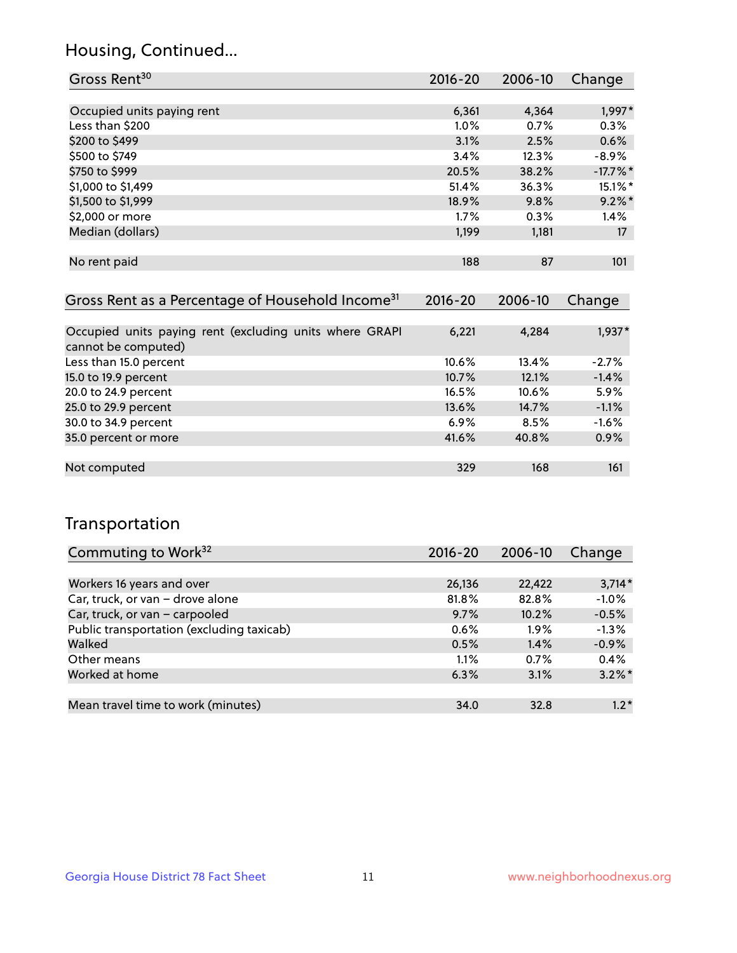## Housing, Continued...

| Gross Rent <sup>30</sup>   | 2016-20 | 2006-10 | Change    |
|----------------------------|---------|---------|-----------|
|                            |         |         |           |
| Occupied units paying rent | 6,361   | 4,364   | 1,997*    |
| Less than \$200            | 1.0%    | 0.7%    | 0.3%      |
| \$200 to \$499             | 3.1%    | 2.5%    | 0.6%      |
| \$500 to \$749             | 3.4%    | 12.3%   | $-8.9\%$  |
| \$750 to \$999             | 20.5%   | 38.2%   | $-17.7%$  |
| \$1,000 to \$1,499         | 51.4%   | 36.3%   | 15.1%*    |
| \$1,500 to \$1,999         | 18.9%   | 9.8%    | $9.2\%$ * |
| \$2,000 or more            | 1.7%    | 0.3%    | 1.4%      |
| Median (dollars)           | 1,199   | 1,181   | 17        |
|                            |         |         |           |
| No rent paid               | 188     | 87      | 101       |

| Gross Rent as a Percentage of Household Income <sup>31</sup>                   | $2016 - 20$ | 2006-10 | Change   |
|--------------------------------------------------------------------------------|-------------|---------|----------|
|                                                                                |             |         |          |
| Occupied units paying rent (excluding units where GRAPI<br>cannot be computed) | 6,221       | 4,284   | $1,937*$ |
| Less than 15.0 percent                                                         | 10.6%       | 13.4%   | $-2.7%$  |
| 15.0 to 19.9 percent                                                           | 10.7%       | 12.1%   | $-1.4%$  |
| 20.0 to 24.9 percent                                                           | 16.5%       | 10.6%   | 5.9%     |
| 25.0 to 29.9 percent                                                           | 13.6%       | 14.7%   | $-1.1%$  |
| 30.0 to 34.9 percent                                                           | $6.9\%$     | 8.5%    | $-1.6%$  |
| 35.0 percent or more                                                           | 41.6%       | 40.8%   | 0.9%     |
|                                                                                |             |         |          |
| Not computed                                                                   | 329         | 168     | 161      |

## Transportation

| Commuting to Work <sup>32</sup>           | 2016-20 | 2006-10 | Change    |
|-------------------------------------------|---------|---------|-----------|
|                                           |         |         |           |
| Workers 16 years and over                 | 26,136  | 22,422  | $3,714*$  |
| Car, truck, or van - drove alone          | 81.8%   | 82.8%   | $-1.0%$   |
| Car, truck, or van - carpooled            | 9.7%    | 10.2%   | $-0.5%$   |
| Public transportation (excluding taxicab) | 0.6%    | $1.9\%$ | $-1.3%$   |
| Walked                                    | 0.5%    | 1.4%    | $-0.9%$   |
| Other means                               | 1.1%    | 0.7%    | 0.4%      |
| Worked at home                            | 6.3%    | 3.1%    | $3.2\%$ * |
|                                           |         |         |           |
| Mean travel time to work (minutes)        | 34.0    | 32.8    | $1.2*$    |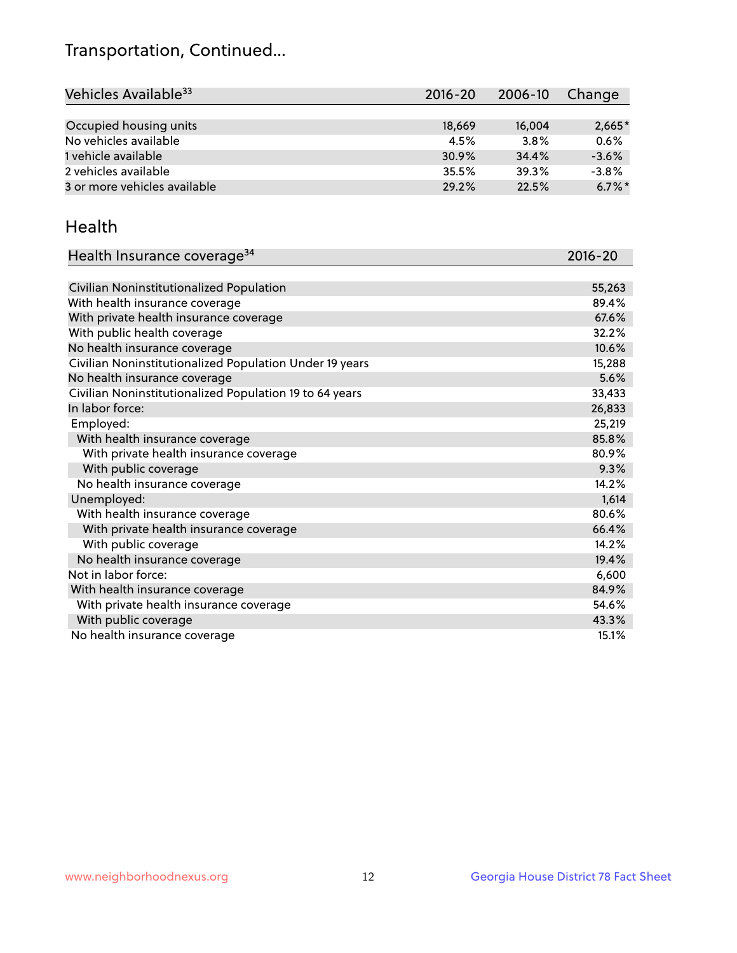## Transportation, Continued...

| Vehicles Available <sup>33</sup> | $2016 - 20$ | 2006-10 | Change    |
|----------------------------------|-------------|---------|-----------|
|                                  |             |         |           |
| Occupied housing units           | 18,669      | 16,004  | $2,665*$  |
| No vehicles available            | 4.5%        | 3.8%    | 0.6%      |
| 1 vehicle available              | 30.9%       | 34.4%   | $-3.6%$   |
| 2 vehicles available             | 35.5%       | 39.3%   | $-3.8%$   |
| 3 or more vehicles available     | 29.2%       | 22.5%   | $6.7\%$ * |

#### Health

| Health Insurance coverage <sup>34</sup>                 | 2016-20 |
|---------------------------------------------------------|---------|
|                                                         |         |
| Civilian Noninstitutionalized Population                | 55,263  |
| With health insurance coverage                          | 89.4%   |
| With private health insurance coverage                  | 67.6%   |
| With public health coverage                             | 32.2%   |
| No health insurance coverage                            | 10.6%   |
| Civilian Noninstitutionalized Population Under 19 years | 15,288  |
| No health insurance coverage                            | 5.6%    |
| Civilian Noninstitutionalized Population 19 to 64 years | 33,433  |
| In labor force:                                         | 26,833  |
| Employed:                                               | 25,219  |
| With health insurance coverage                          | 85.8%   |
| With private health insurance coverage                  | 80.9%   |
| With public coverage                                    | 9.3%    |
| No health insurance coverage                            | 14.2%   |
| Unemployed:                                             | 1,614   |
| With health insurance coverage                          | 80.6%   |
| With private health insurance coverage                  | 66.4%   |
| With public coverage                                    | 14.2%   |
| No health insurance coverage                            | 19.4%   |
| Not in labor force:                                     | 6,600   |
| With health insurance coverage                          | 84.9%   |
| With private health insurance coverage                  | 54.6%   |
| With public coverage                                    | 43.3%   |
| No health insurance coverage                            | 15.1%   |